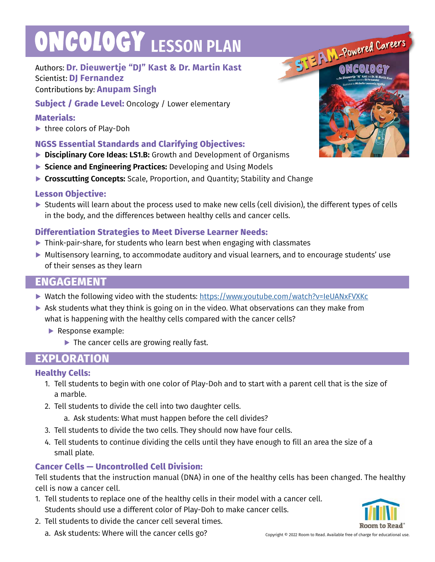# **ONCOLOGY LESSON PLAN**

# Authors: **Dr. Dieuwertje "DJ" Kast & Dr. Martin Kast** Scientist: **DJ Fernandez**

## Contributions by: **Anupam Singh**

**Subject / Grade Level:** Oncology / Lower elementary

## **Materials:**

**▶** three colors of Play-Doh

# **NGSS Essential Standards and Clarifying Objectives:**

- **▶ Disciplinary Core Ideas: LS1.B:** Growth and Development of Organisms
- **▶ Science and Engineering Practices:** Developing and Using Models
- **▶ Crosscutting Concepts:** Scale, Proportion, and Quantity; Stability and Change

### **Lesson Objective:**

▶ Students will learn about the process used to make new cells (cell division), the different types of cells in the body, and the differences between healthy cells and cancer cells.

# **Differentiation Strategies to Meet Diverse Learner Needs:**

- **▶** Think-pair-share, for students who learn best when engaging with classmates
- **▶** Multisensory learning, to accommodate auditory and visual learners, and to encourage students' use of their senses as they learn

# **ENGAGEMENT**

- ▶ Watch the following video with the students: https://www.youtube.com/watch?v=IeUANxFVXKc
- ▶ Ask students what they think is going on in the video. What observations can they make from what is happening with the healthy cells compared with the cancer cells?
	- **▶** Response example:
		- **▶** The cancer cells are growing really fast.

# **EXPLORATION**

# **Healthy Cells:**

- 1. Tell students to begin with one color of Play-Doh and to start with a parent cell that is the size of a marble.
- 2. Tell students to divide the cell into two daughter cells.
	- a. Ask students: What must happen before the cell divides?
- 3. Tell students to divide the two cells. They should now have four cells.
- 4. Tell students to continue dividing the cells until they have enough to fill an area the size of a small plate.

# **Cancer Cells — Uncontrolled Cell Division:**

Tell students that the instruction manual (DNA) in one of the healthy cells has been changed. The healthy cell is now a cancer cell.

- 1. Tell students to replace one of the healthy cells in their model with a cancer cell. Students should use a different color of Play-Doh to make cancer cells.
- 2. Tell students to divide the cancer cell several times.
	- a. Ask students: Where will the cancer cells go? Copyright © 2022 Room to Read. Available free of charge for educational use.





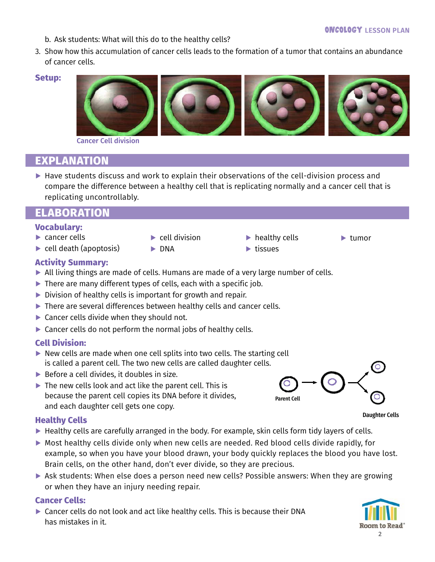- b. Ask students: What will this do to the healthy cells?
- 3. Show how this accumulation of cancer cells leads to the formation of a tumor that contains an abundance of cancer cells.

#### **Setup:**



Cancer Cell division

# **EXPLANATION**

▶ Have students discuss and work to explain their observations of the cell-division process and compare the difference between a healthy cell that is replicating normally and a cancer cell that is replicating uncontrollably.

# **ELABORATION**

#### **Vocabulary:**

- **▶** cancer cells
- **▶** cell death (apoptosis)
- **▶** cell division
- **▶** healthy cells
- **▶** tumor
- 
- **Activity Summary:**
- **▶** All living things are made of cells. Humans are made of a very large number of cells.

**▶** DNA

- **▶** There are many different types of cells, each with a specific job.
- **▶** Division of healthy cells is important for growth and repair.
- **▶** There are several differences between healthy cells and cancer cells.
- ▶ Cancer cells divide when they should not.
- ▶ Cancer cells do not perform the normal jobs of healthy cells.

### **Cell Division:**

- **▶** New cells are made when one cell splits into two cells. The starting cell is called a parent cell. The two new cells are called daughter cells.
- **▶** Before a cell divides, it doubles in size.
- **▶** The new cells look and act like the parent cell. This is because the parent cell copies its DNA before it divides, and each daughter cell gets one copy.

### **Healthy Cells**

- ▶ Healthy cells are carefully arranged in the body. For example, skin cells form tidy layers of cells.
- **▶** Most healthy cells divide only when new cells are needed. Red blood cells divide rapidly, for example, so when you have your blood drawn, your body quickly replaces the blood you have lost. Brain cells, on the other hand, don't ever divide, so they are precious.
- ▶ Ask students: When else does a person need new cells? Possible answers: When they are growing or when they have an injury needing repair.

### **Cancer Cells:**

**▶** Cancer cells do not look and act like healthy cells. This is because their DNA has mistakes in it.





Daughter Cells

**▶** tissues